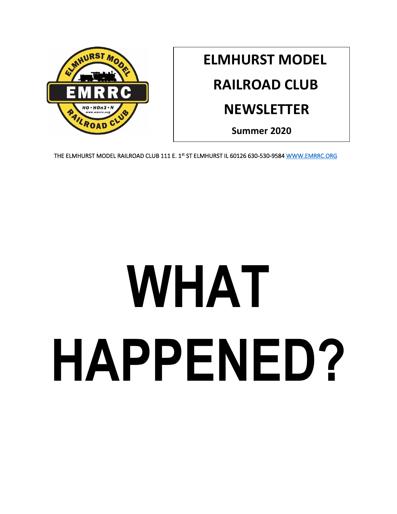

# **ELMHURST MODEL**

## **RAILROAD CLUB**

## **NEWSLETTER**

**Summer 2020**

THE ELMHURST MODEL RAILROAD CLUB 111 E. 1st ST ELMHURST IL 60126 630-530-9584 WWW.EMRRC.ORG

# **WHAT HAPPENED?**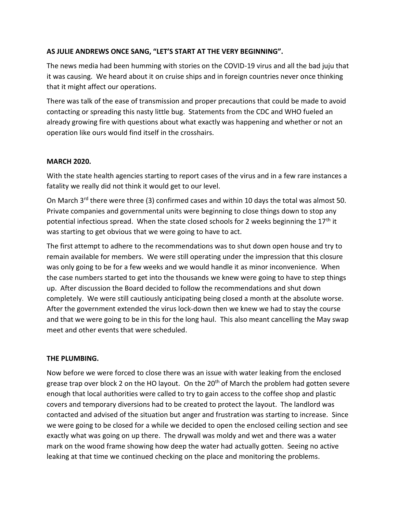## **AS JULIE ANDREWS ONCE SANG, "LET'S START AT THE VERY BEGINNING".**

The news media had been humming with stories on the COVID-19 virus and all the bad juju that it was causing. We heard about it on cruise ships and in foreign countries never once thinking that it might affect our operations.

There was talk of the ease of transmission and proper precautions that could be made to avoid contacting or spreading this nasty little bug. Statements from the CDC and WHO fueled an already growing fire with questions about what exactly was happening and whether or not an operation like ours would find itself in the crosshairs.

#### **MARCH 2020.**

With the state health agencies starting to report cases of the virus and in a few rare instances a fatality we really did not think it would get to our level.

On March 3<sup>rd</sup> there were three (3) confirmed cases and within 10 days the total was almost 50. Private companies and governmental units were beginning to close things down to stop any potential infectious spread. When the state closed schools for 2 weeks beginning the  $17<sup>th</sup>$  it was starting to get obvious that we were going to have to act.

The first attempt to adhere to the recommendations was to shut down open house and try to remain available for members. We were still operating under the impression that this closure was only going to be for a few weeks and we would handle it as minor inconvenience. When the case numbers started to get into the thousands we knew were going to have to step things up. After discussion the Board decided to follow the recommendations and shut down completely. We were still cautiously anticipating being closed a month at the absolute worse. After the government extended the virus lock-down then we knew we had to stay the course and that we were going to be in this for the long haul. This also meant cancelling the May swap meet and other events that were scheduled.

### **THE PLUMBING.**

Now before we were forced to close there was an issue with water leaking from the enclosed grease trap over block 2 on the HO layout. On the  $20<sup>th</sup>$  of March the problem had gotten severe enough that local authorities were called to try to gain access to the coffee shop and plastic covers and temporary diversions had to be created to protect the layout. The landlord was contacted and advised of the situation but anger and frustration was starting to increase. Since we were going to be closed for a while we decided to open the enclosed ceiling section and see exactly what was going on up there. The drywall was moldy and wet and there was a water mark on the wood frame showing how deep the water had actually gotten. Seeing no active leaking at that time we continued checking on the place and monitoring the problems.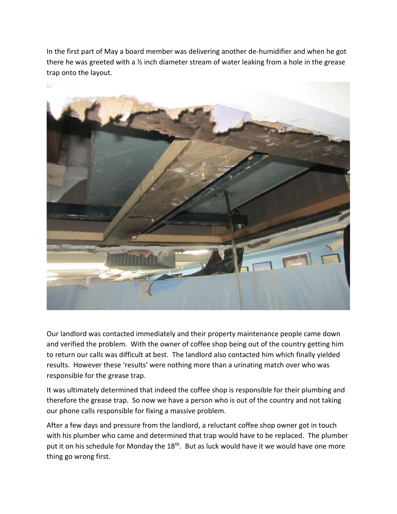In the first part of May a board member was delivering another de-humidifier and when he got there he was greeted with a ½ inch diameter stream of water leaking from a hole in the grease trap onto the layout.



Our landlord was contacted immediately and their property maintenance people came down and verified the problem. With the owner of coffee shop being out of the country getting him to return our calls was difficult at best. The landlord also contacted him which finally yielded results. However these 'results' were nothing more than a urinating match over who was responsible for the grease trap.

It was ultimately determined that indeed the coffee shop is responsible for their plumbing and therefore the grease trap. So now we have a person who is out of the country and not taking our phone calls responsible for fixing a massive problem.

After a few days and pressure from the landlord, a reluctant coffee shop owner got in touch with his plumber who came and determined that trap would have to be replaced. The plumber put it on his schedule for Monday the 18<sup>th</sup>. But as luck would have it we would have one more thing go wrong first.